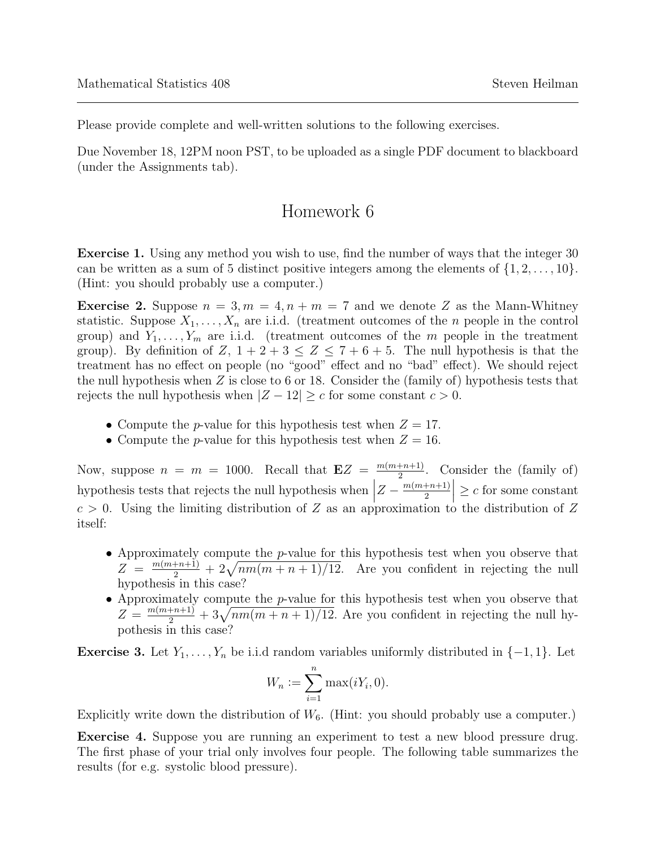Please provide complete and well-written solutions to the following exercises.

Due November 18, 12PM noon PST, to be uploaded as a single PDF document to blackboard (under the Assignments tab).

## Homework 6

Exercise 1. Using any method you wish to use, find the number of ways that the integer 30 can be written as a sum of 5 distinct positive integers among the elements of  $\{1, 2, \ldots, 10\}$ . (Hint: you should probably use a computer.)

**Exercise 2.** Suppose  $n = 3, m = 4, n + m = 7$  and we denote Z as the Mann-Whitney statistic. Suppose  $X_1, \ldots, X_n$  are i.i.d. (treatment outcomes of the *n* people in the control group) and  $Y_1, \ldots, Y_m$  are i.i.d. (treatment outcomes of the m people in the treatment group). By definition of  $Z$ ,  $1+2+3 \leq Z \leq 7+6+5$ . The null hypothesis is that the treatment has no effect on people (no "good" effect and no "bad" effect). We should reject the null hypothesis when  $Z$  is close to 6 or 18. Consider the (family of) hypothesis tests that rejects the null hypothesis when  $|Z - 12| \ge c$  for some constant  $c > 0$ .

- Compute the *p*-value for this hypothesis test when  $Z = 17$ .
- Compute the *p*-value for this hypothesis test when  $Z = 16$ .

Now, suppose  $n = m = 1000$ . Recall that  $EZ = \frac{m(m+n+1)}{2}$  $\frac{+n+1}{2}$ . Consider the (family of) hypothesis tests that rejects the null hypothesis when  $\Big|$  $Z - \frac{m(m+n+1)}{2}$ 2  $\vert \geq c$  for some constant  $c > 0$ . Using the limiting distribution of Z as an approximation to the distribution of Z itself:

- Approximately compute the *p*-value for this hypothesis test when you observe that  $Z = \frac{m(m+n+1)}{2} + 2\sqrt{nm(m+n+1)/12}$ . Are you confident in rejecting the null hypothesis in this case?
- Approximately compute the p-value for this hypothesis test when you observe that  $Z = \frac{m(m+n+1)}{2} + 3\sqrt{nm(m+n+1)/12}$ . Are you confident in rejecting the null hypothesis in this case?

**Exercise 3.** Let  $Y_1, \ldots, Y_n$  be i.i.d random variables uniformly distributed in  $\{-1, 1\}$ . Let

$$
W_n := \sum_{i=1}^n \max(iY_i, 0).
$$

Explicitly write down the distribution of  $W_6$ . (Hint: you should probably use a computer.)

Exercise 4. Suppose you are running an experiment to test a new blood pressure drug. The first phase of your trial only involves four people. The following table summarizes the results (for e.g. systolic blood pressure).